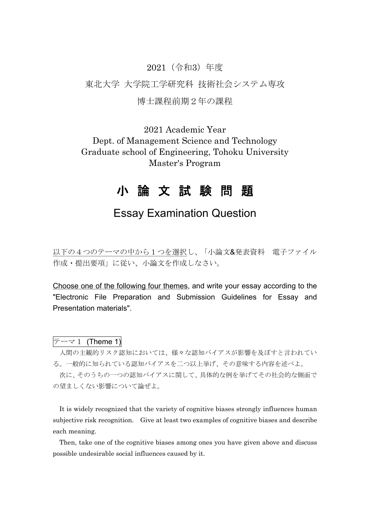#### 2021(令和3)年度

東北大学 大学院工学研究科 技術社会システム専攻

## 博士課程前期2年の課程

2021 Academic Year Dept. of Management Science and Technology Graduate school of Engineering, Tohoku University Master's Program

# 小 論 文 試 験 問 題

## Essay Examination Question

以下の4つのテーマの中から1つを選択し、「小論文&発表資料 電子ファイル 作成・提出要項」に従い、小論文を作成しなさい。

Choose one of the following four themes, and write your essay according to the "Electronic File Preparation and Submission Guidelines for Essay and Presentation materials".

 $\overline{z}$  –  $\overline{z}$  1 (Theme 1)

人間の主観的リスク認知においては、様々な認知バイアスが影響を及ぼすと言われてい る。一般的に知られている認知バイアスを二つ以上挙げ、その意味する内容を述べよ。

次に、そのうちの一つの認知バイアスに関して、具体的な例を挙げてその社会的な側面で の望ましくない影響について論ぜよ。

It is widely recognized that the variety of cognitive biases strongly influences human subjective risk recognition. Give at least two examples of cognitive biases and describe each meaning.

Then, take one of the cognitive biases among ones you have given above and discuss possible undesirable social influences caused by it.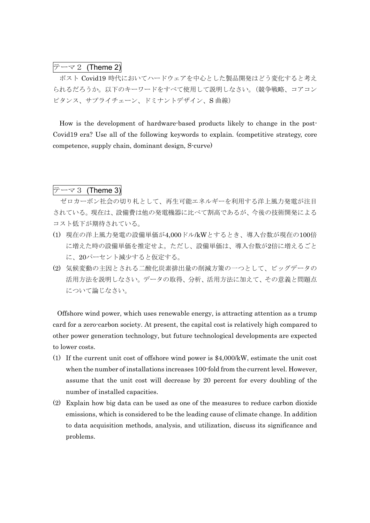### $\overline{z}$   $\overline{z}$  (Theme 2)

ポスト Covid19 時代においてハードウェアを中心とした製品開発はどう変化すると考え られるだろうか。以下のキーワードをすべて使用して説明しなさい。(競争戦略、コアコン ピタンス、サプライチェーン、ドミナントデザイン、S 曲線)

How is the development of hardware-based products likely to change in the post-Covid19 era? Use all of the following keywords to explain. (competitive strategy, core competence, supply chain, dominant design, S-curve)

 $\bar{z}$  -  $\bar{z}$  3 (Theme 3)

ゼロカーボン社会の切り札として、再生可能エネルギーを利用する洋上風力発電が注目 されている。現在は、設備費は他の発電機器に比べて割高であるが、今後の技術開発による コスト低下が期待されている。

- (1) 現在の洋上風力発電の設備単価が4,000ドル/kWとするとき、導入台数が現在の100倍 に増えた時の設備単価を推定せよ。ただし、設備単価は、導入台数が2倍に増えるごと に、20パーセント減少すると仮定する。
- (2) 気候変動の主因とされる二酸化炭素排出量の削減方策の一つとして、ビッグデータの 活用方法を説明しなさい。データの取得、分析、活用方法に加えて、その意義と問題点 について論じなさい。

Offshore wind power, which uses renewable energy, is attracting attention as a trump card for a zero-carbon society. At present, the capital cost is relatively high compared to other power generation technology, but future technological developments are expected to lower costs.

- (1) If the current unit cost of offshore wind power is \$4,000/kW, estimate the unit cost when the number of installations increases 100-fold from the current level. However, assume that the unit cost will decrease by 20 percent for every doubling of the number of installed capacities.
- (2) Explain how big data can be used as one of the measures to reduce carbon dioxide emissions, which is considered to be the leading cause of climate change. In addition to data acquisition methods, analysis, and utilization, discuss its significance and problems.